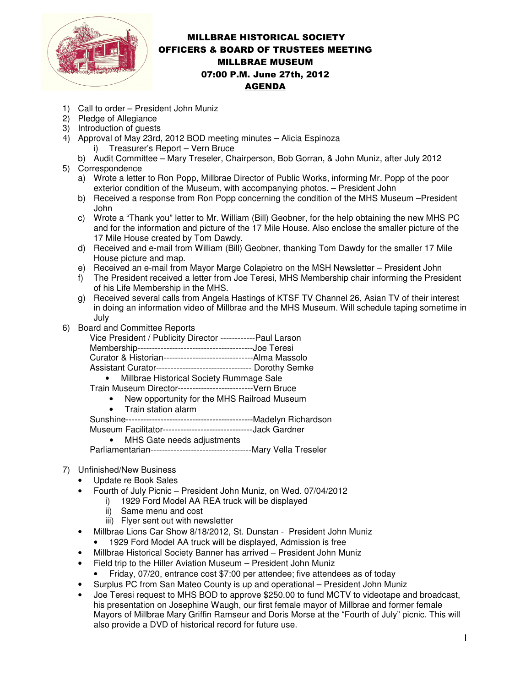

## MILLBRAE HISTORICAL SOCIETY OFFICERS & BOARD OF TRUSTEES MEETING MILLBRAE MUSEUM 07:00 P.M. June 27th, 2012 AGENDA

- 1) Call to order President John Muniz
- 2) Pledge of Allegiance
- 3) Introduction of guests
- 4) Approval of May 23rd, 2012 BOD meeting minutes Alicia Espinoza i) Treasurer's Report – Vern Bruce
- b) Audit Committee Mary Treseler, Chairperson, Bob Gorran, & John Muniz, after July 2012 5) Correspondence
	- a) Wrote a letter to Ron Popp, Millbrae Director of Public Works, informing Mr. Popp of the poor exterior condition of the Museum, with accompanying photos. – President John
	- b) Received a response from Ron Popp concerning the condition of the MHS Museum –President John
	- c) Wrote a "Thank you" letter to Mr. William (Bill) Geobner, for the help obtaining the new MHS PC and for the information and picture of the 17 Mile House. Also enclose the smaller picture of the 17 Mile House created by Tom Dawdy.
	- d) Received and e-mail from William (Bill) Geobner, thanking Tom Dawdy for the smaller 17 Mile House picture and map.
	- e) Received an e-mail from Mayor Marge Colapietro on the MSH Newsletter President John
	- f) The President received a letter from Joe Teresi, MHS Membership chair informing the President of his Life Membership in the MHS.
	- g) Received several calls from Angela Hastings of KTSF TV Channel 26, Asian TV of their interest in doing an information video of Millbrae and the MHS Museum. Will schedule taping sometime in July
- 6) Board and Committee Reports

| paro ano Committee Reports                                        |
|-------------------------------------------------------------------|
| Vice President / Publicity Director ------------Paul Larson       |
|                                                                   |
| Curator & Historian----------------------------------Alma Massolo |
| Assistant Curator--------------------------------- Dorothy Semke  |
| • Millbrae Historical Society Rummage Sale                        |
| Train Museum Director----------------------------- Vern Bruce     |
| New opportunity for the MHS Railroad Museum<br>$\bullet$          |
| • Train station alarm                                             |
|                                                                   |

Museum Facilitator-------------------------------Jack Gardner

• MHS Gate needs adjustments Parliamentarian-----------------------------------Mary Vella Treseler

## 7) Unfinished/New Business

- Update re Book Sales
- Fourth of July Picnic President John Muniz, on Wed. 07/04/2012
	- i) 1929 Ford Model AA REA truck will be displayed
	- ii) Same menu and cost
	- iii) Flyer sent out with newsletter
- Millbrae Lions Car Show 8/18/2012, St. Dunstan President John Muniz
	- 1929 Ford Model AA truck will be displayed, Admission is free
- Millbrae Historical Society Banner has arrived President John Muniz
- Field trip to the Hiller Aviation Museum President John Muniz
	- Friday, 07/20, entrance cost \$7:00 per attendee; five attendees as of today
- Surplus PC from San Mateo County is up and operational President John Muniz
- Joe Teresi request to MHS BOD to approve \$250.00 to fund MCTV to videotape and broadcast, his presentation on Josephine Waugh, our first female mayor of Millbrae and former female Mayors of Millbrae Mary Griffin Ramseur and Doris Morse at the "Fourth of July" picnic. This will also provide a DVD of historical record for future use.